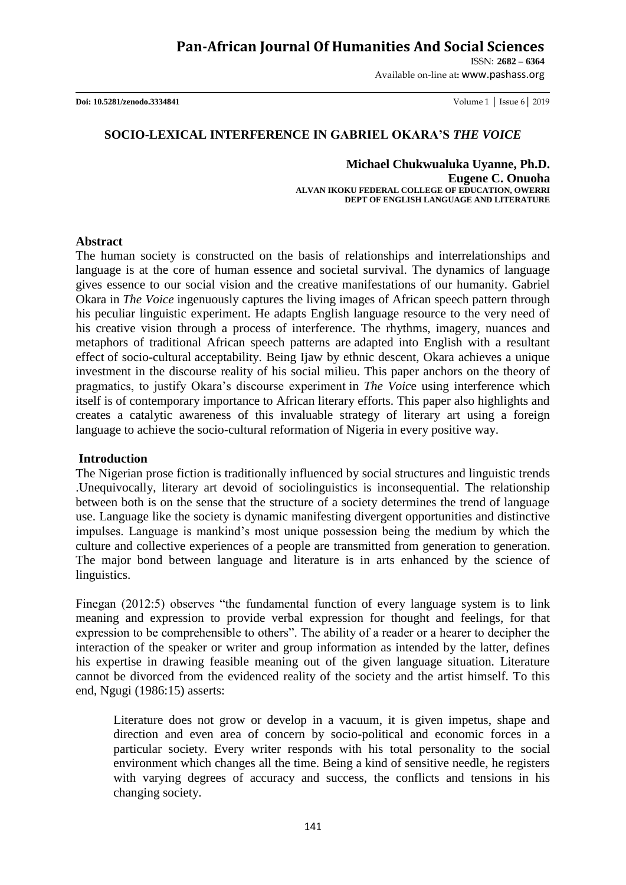# **Pan-African Journal Of Humanities And Social Sciences**

ISSN: **2682 – 6364**

Available on-line at**:** www.pashass.org

**Doi: 10.5281/zenodo.3334841** Volume 1 │ Issue 6│ 2019

### **SOCIO-LEXICAL INTERFERENCE IN GABRIEL OKARA'S** *THE VOICE*

#### **Michael Chukwualuka Uyanne, Ph.D. Eugene C. Onuoha ALVAN IKOKU FEDERAL COLLEGE OF EDUCATION, OWERRI DEPT OF ENGLISH LANGUAGE AND LITERATURE**

### **Abstract**

The human society is constructed on the basis of relationships and interrelationships and language is at the core of human essence and societal survival. The dynamics of language gives essence to our social vision and the creative manifestations of our humanity. Gabriel Okara in *The Voice* ingenuously captures the living images of African speech pattern through his peculiar linguistic experiment. He adapts English language resource to the very need of his creative vision through a process of interference. The rhythms, imagery, nuances and metaphors of traditional African speech patterns are adapted into English with a resultant effect of socio-cultural acceptability. Being Ijaw by ethnic descent, Okara achieves a unique investment in the discourse reality of his social milieu. This paper anchors on the theory of pragmatics, to justify Okara"s discourse experiment in *The Voic*e using interference which itself is of contemporary importance to African literary efforts. This paper also highlights and creates a catalytic awareness of this invaluable strategy of literary art using a foreign language to achieve the socio-cultural reformation of Nigeria in every positive way.

### **Introduction**

The Nigerian prose fiction is traditionally influenced by social structures and linguistic trends .Unequivocally, literary art devoid of sociolinguistics is inconsequential. The relationship between both is on the sense that the structure of a society determines the trend of language use. Language like the society is dynamic manifesting divergent opportunities and distinctive impulses. Language is mankind"s most unique possession being the medium by which the culture and collective experiences of a people are transmitted from generation to generation. The major bond between language and literature is in arts enhanced by the science of linguistics.

Finegan (2012:5) observes "the fundamental function of every language system is to link meaning and expression to provide verbal expression for thought and feelings, for that expression to be comprehensible to others". The ability of a reader or a hearer to decipher the interaction of the speaker or writer and group information as intended by the latter, defines his expertise in drawing feasible meaning out of the given language situation. Literature cannot be divorced from the evidenced reality of the society and the artist himself. To this end, Ngugi (1986:15) asserts:

Literature does not grow or develop in a vacuum, it is given impetus, shape and direction and even area of concern by socio-political and economic forces in a particular society. Every writer responds with his total personality to the social environment which changes all the time. Being a kind of sensitive needle, he registers with varying degrees of accuracy and success, the conflicts and tensions in his changing society.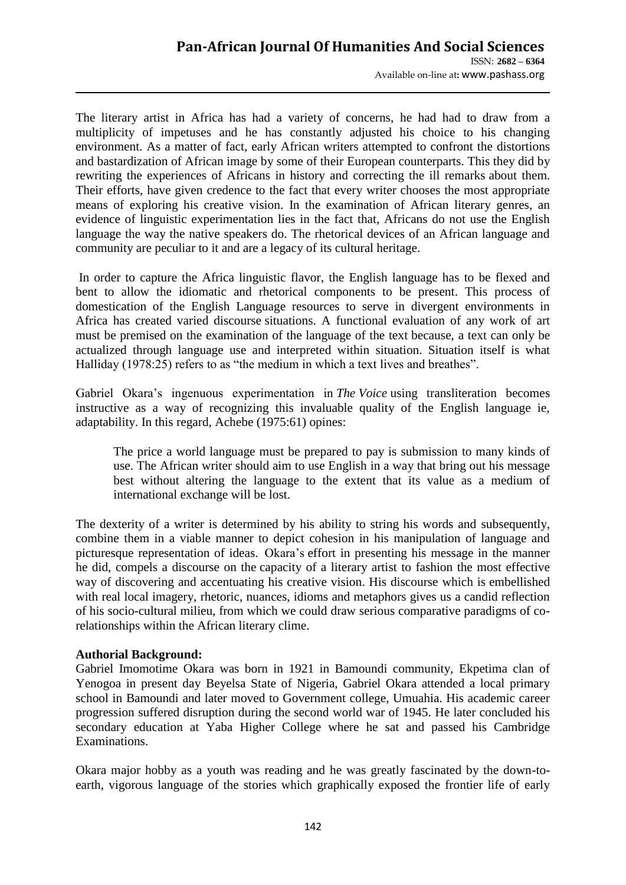The literary artist in Africa has had a variety of concerns, he had had to draw from a multiplicity of impetuses and he has constantly adjusted his choice to his changing environment. As a matter of fact, early African writers attempted to confront the distortions and bastardization of African image by some of their European counterparts. This they did by rewriting the experiences of Africans in history and correcting the ill remarks about them. Their efforts, have given credence to the fact that every writer chooses the most appropriate means of exploring his creative vision. In the examination of African literary genres, an evidence of linguistic experimentation lies in the fact that, Africans do not use the English language the way the native speakers do. The rhetorical devices of an African language and community are peculiar to it and are a legacy of its cultural heritage.

In order to capture the Africa linguistic flavor, the English language has to be flexed and bent to allow the idiomatic and rhetorical components to be present. This process of domestication of the English Language resources to serve in divergent environments in Africa has created varied discourse situations. A functional evaluation of any work of art must be premised on the examination of the language of the text because, a text can only be actualized through language use and interpreted within situation. Situation itself is what Halliday (1978:25) refers to as "the medium in which a text lives and breathes".

Gabriel Okara's ingenuous experimentation in *The Voice* using transliteration becomes instructive as a way of recognizing this invaluable quality of the English language ie, adaptability. In this regard, Achebe (1975:61) opines:

The price a world language must be prepared to pay is submission to many kinds of use. The African writer should aim to use English in a way that bring out his message best without altering the language to the extent that its value as a medium of international exchange will be lost.

The dexterity of a writer is determined by his ability to string his words and subsequently, combine them in a viable manner to depict cohesion in his manipulation of language and picturesque representation of ideas. Okara's effort in presenting his message in the manner he did, compels a discourse on the capacity of a literary artist to fashion the most effective way of discovering and accentuating his creative vision. His discourse which is embellished with real local imagery, rhetoric, nuances, idioms and metaphors gives us a candid reflection of his socio-cultural milieu, from which we could draw serious comparative paradigms of corelationships within the African literary clime.

### **Authorial Background:**

Gabriel Imomotime Okara was born in 1921 in Bamoundi community, Ekpetima clan of Yenogoa in present day Beyelsa State of Nigeria, Gabriel Okara attended a local primary school in Bamoundi and later moved to Government college, Umuahia. His academic career progression suffered disruption during the second world war of 1945. He later concluded his secondary education at Yaba Higher College where he sat and passed his Cambridge Examinations.

Okara major hobby as a youth was reading and he was greatly fascinated by the down-toearth, vigorous language of the stories which graphically exposed the frontier life of early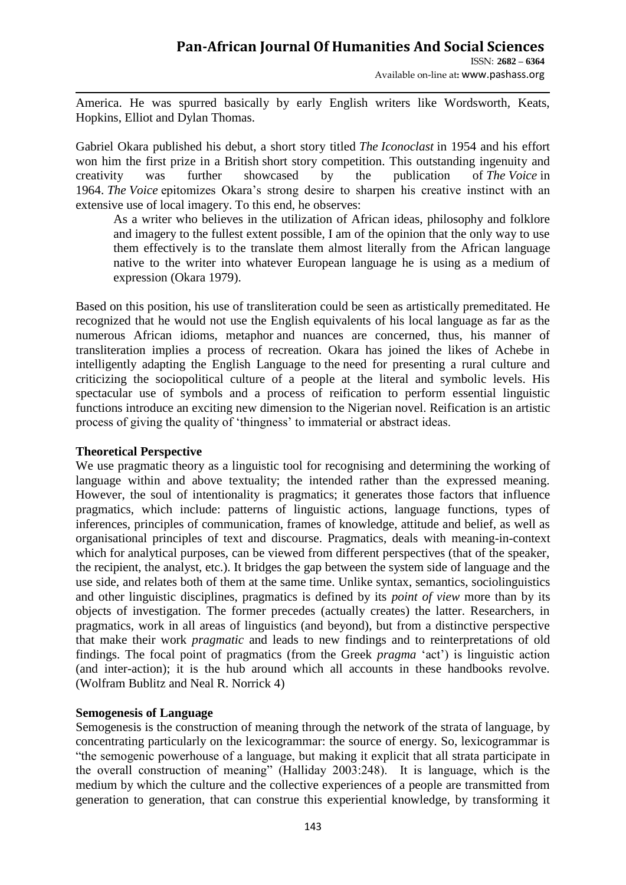ISSN: **2682 – 6364** Available on-line at**:** www.pashass.org

America. He was spurred basically by early English writers like Wordsworth, Keats, Hopkins, Elliot and Dylan Thomas.

Gabriel Okara published his debut, a short story titled *The Iconoclast* in 1954 and his effort won him the first prize in a British short story competition. This outstanding ingenuity and creativity was further showcased by the publication of *The Voice* in 1964. *The Voice* epitomizes Okara"s strong desire to sharpen his creative instinct with an extensive use of local imagery. To this end, he observes:

As a writer who believes in the utilization of African ideas, philosophy and folklore and imagery to the fullest extent possible, I am of the opinion that the only way to use them effectively is to the translate them almost literally from the African language native to the writer into whatever European language he is using as a medium of expression (Okara 1979).

Based on this position, his use of transliteration could be seen as artistically premeditated. He recognized that he would not use the English equivalents of his local language as far as the numerous African idioms, metaphor and nuances are concerned, thus, his manner of transliteration implies a process of recreation. Okara has joined the likes of Achebe in intelligently adapting the English Language to the need for presenting a rural culture and criticizing the sociopolitical culture of a people at the literal and symbolic levels. His spectacular use of symbols and a process of reification to perform essential linguistic functions introduce an exciting new dimension to the Nigerian novel. Reification is an artistic process of giving the quality of "thingness" to immaterial or abstract ideas.

## **Theoretical Perspective**

We use pragmatic theory as a linguistic tool for recognising and determining the working of language within and above textuality; the intended rather than the expressed meaning. However, the soul of intentionality is pragmatics; it generates those factors that influence pragmatics, which include: patterns of linguistic actions, language functions, types of inferences, principles of communication, frames of knowledge, attitude and belief, as well as organisational principles of text and discourse. Pragmatics, deals with meaning-in-context which for analytical purposes, can be viewed from different perspectives (that of the speaker, the recipient, the analyst, etc.). It bridges the gap between the system side of language and the use side, and relates both of them at the same time. Unlike syntax, semantics, sociolinguistics and other linguistic disciplines, pragmatics is defined by its *point of view* more than by its objects of investigation. The former precedes (actually creates) the latter. Researchers, in pragmatics, work in all areas of linguistics (and beyond), but from a distinctive perspective that make their work *pragmatic* and leads to new findings and to reinterpretations of old findings. The focal point of pragmatics (from the Greek *pragma* 'act') is linguistic action (and inter-action); it is the hub around which all accounts in these handbooks revolve. (Wolfram Bublitz and Neal R. Norrick 4)

## **Semogenesis of Language**

Semogenesis is the construction of meaning through the network of the strata of language, by concentrating particularly on the lexicogrammar: the source of energy. So, lexicogrammar is "the semogenic powerhouse of a language, but making it explicit that all strata participate in the overall construction of meaning" (Halliday 2003:248). It is language, which is the medium by which the culture and the collective experiences of a people are transmitted from generation to generation, that can construe this experiential knowledge, by transforming it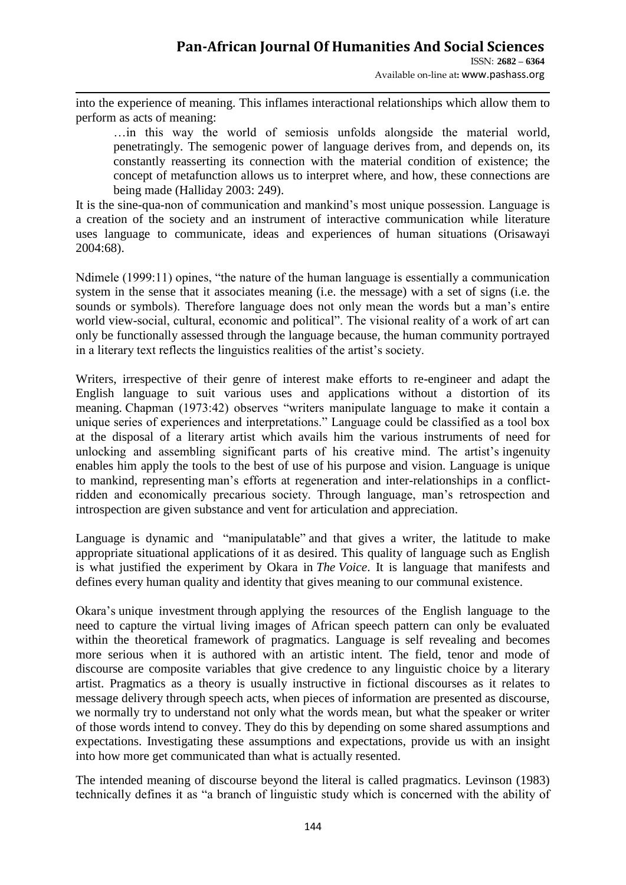Available on-line at**:** www.pashass.org

into the experience of meaning. This inflames interactional relationships which allow them to perform as acts of meaning:

…in this way the world of semiosis unfolds alongside the material world, penetratingly. The semogenic power of language derives from, and depends on, its constantly reasserting its connection with the material condition of existence; the concept of metafunction allows us to interpret where, and how, these connections are being made (Halliday 2003: 249).

It is the sine-qua-non of communication and mankind"s most unique possession. Language is a creation of the society and an instrument of interactive communication while literature uses language to communicate, ideas and experiences of human situations (Orisawayi 2004:68).

Ndimele (1999:11) opines, "the nature of the human language is essentially a communication system in the sense that it associates meaning (i.e. the message) with a set of signs (i.e. the sounds or symbols). Therefore language does not only mean the words but a man's entire world view-social, cultural, economic and political". The visional reality of a work of art can only be functionally assessed through the language because, the human community portrayed in a literary text reflects the linguistics realities of the artist"s society.

Writers, irrespective of their genre of interest make efforts to re-engineer and adapt the English language to suit various uses and applications without a distortion of its meaning. Chapman (1973:42) observes "writers manipulate language to make it contain a unique series of experiences and interpretations." Language could be classified as a tool box at the disposal of a literary artist which avails him the various instruments of need for unlocking and assembling significant parts of his creative mind. The artist's ingenuity enables him apply the tools to the best of use of his purpose and vision. Language is unique to mankind, representing man"s efforts at regeneration and inter-relationships in a conflictridden and economically precarious society. Through language, man"s retrospection and introspection are given substance and vent for articulation and appreciation.

Language is dynamic and "manipulatable" and that gives a writer, the latitude to make appropriate situational applications of it as desired. This quality of language such as English is what justified the experiment by Okara in *The Voice*. It is language that manifests and defines every human quality and identity that gives meaning to our communal existence.

Okara"s unique investment through applying the resources of the English language to the need to capture the virtual living images of African speech pattern can only be evaluated within the theoretical framework of pragmatics. Language is self revealing and becomes more serious when it is authored with an artistic intent. The field, tenor and mode of discourse are composite variables that give credence to any linguistic choice by a literary artist. Pragmatics as a theory is usually instructive in fictional discourses as it relates to message delivery through speech acts, when pieces of information are presented as discourse, we normally try to understand not only what the words mean, but what the speaker or writer of those words intend to convey. They do this by depending on some shared assumptions and expectations. Investigating these assumptions and expectations, provide us with an insight into how more get communicated than what is actually resented.

The intended meaning of discourse beyond the literal is called pragmatics. Levinson (1983) technically defines it as "a branch of linguistic study which is concerned with the ability of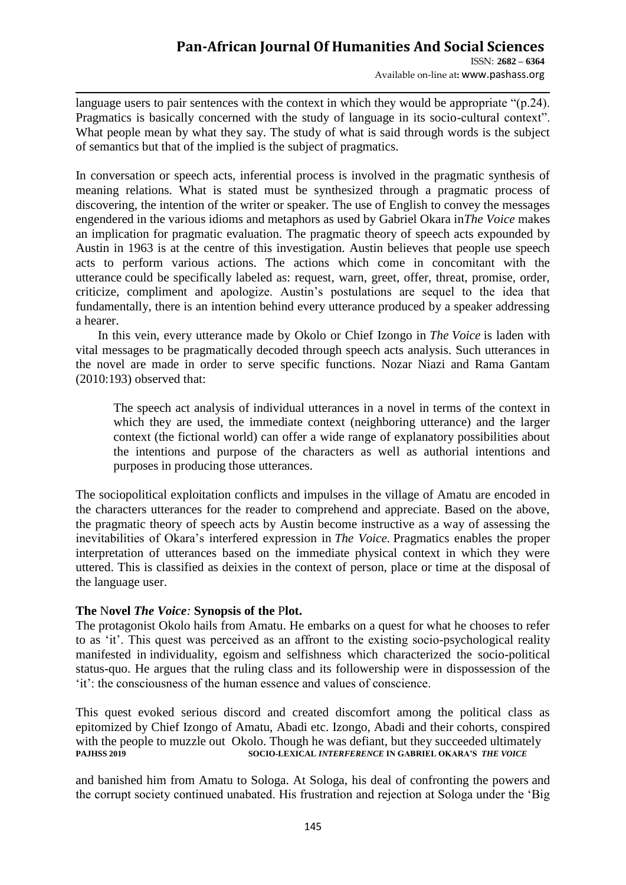### **Pan-African Journal Of Humanities And Social Sciences**  ISSN: **2682 – 6364**

Available on-line at**:** www.pashass.org

language users to pair sentences with the context in which they would be appropriate "(p.24). Pragmatics is basically concerned with the study of language in its socio-cultural context". What people mean by what they say. The study of what is said through words is the subject of semantics but that of the implied is the subject of pragmatics.

In conversation or speech acts, inferential process is involved in the pragmatic synthesis of meaning relations. What is stated must be synthesized through a pragmatic process of discovering, the intention of the writer or speaker. The use of English to convey the messages engendered in the various idioms and metaphors as used by Gabriel Okara in*The Voice* makes an implication for pragmatic evaluation. The pragmatic theory of speech acts expounded by Austin in 1963 is at the centre of this investigation. Austin believes that people use speech acts to perform various actions. The actions which come in concomitant with the utterance could be specifically labeled as: request, warn, greet, offer, threat, promise, order, criticize, compliment and apologize. Austin"s postulations are sequel to the idea that fundamentally, there is an intention behind every utterance produced by a speaker addressing a hearer.

 In this vein, every utterance made by Okolo or Chief Izongo in *The Voice* is laden with vital messages to be pragmatically decoded through speech acts analysis. Such utterances in the novel are made in order to serve specific functions. Nozar Niazi and Rama Gantam (2010:193) observed that:

The speech act analysis of individual utterances in a novel in terms of the context in which they are used, the immediate context (neighboring utterance) and the larger context (the fictional world) can offer a wide range of explanatory possibilities about the intentions and purpose of the characters as well as authorial intentions and purposes in producing those utterances.

The sociopolitical exploitation conflicts and impulses in the village of Amatu are encoded in the characters utterances for the reader to comprehend and appreciate. Based on the above, the pragmatic theory of speech acts by Austin become instructive as a way of assessing the inevitabilities of Okara"s interfered expression in *The Voice.* Pragmatics enables the proper interpretation of utterances based on the immediate physical context in which they were uttered. This is classified as deixies in the context of person, place or time at the disposal of the language user.

## **The** N**ovel** *The Voice:* **Synopsis of the** P**lot.**

The protagonist Okolo hails from Amatu. He embarks on a quest for what he chooses to refer to as "it". This quest was perceived as an affront to the existing socio-psychological reality manifested in individuality, egoism and selfishness which characterized the socio-political status-quo. He argues that the ruling class and its followership were in dispossession of the "it": the consciousness of the human essence and values of conscience.

This quest evoked serious discord and created discomfort among the political class as epitomized by Chief Izongo of Amatu, Abadi etc. Izongo, Abadi and their cohorts, conspired with the people to muzzle out Okolo. Though he was defiant, but they succeeded ultimately<br>socio-LEXICAL INTERFERENCE IN GABRIEL OKARA'S THE VOICE **SOCIO-LEXICAL** *INTERFERENCE* IN GABRIEL OKARA'S THE VOICE

and banished him from Amatu to Sologa. At Sologa, his deal of confronting the powers and the corrupt society continued unabated. His frustration and rejection at Sologa under the "Big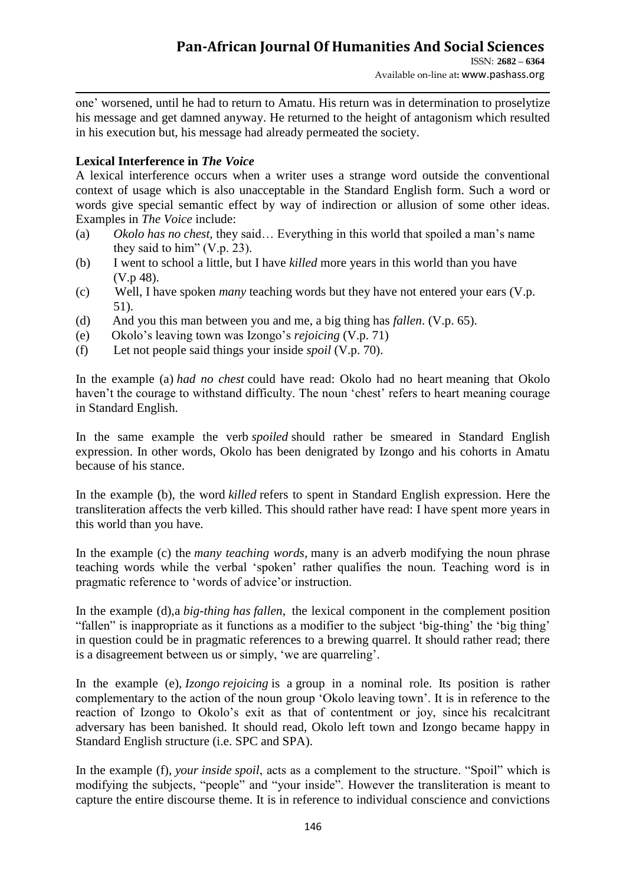one" worsened, until he had to return to Amatu. His return was in determination to proselytize his message and get damned anyway. He returned to the height of antagonism which resulted in his execution but, his message had already permeated the society.

# **Lexical Interference in** *The Voice*

A lexical interference occurs when a writer uses a strange word outside the conventional context of usage which is also unacceptable in the Standard English form. Such a word or words give special semantic effect by way of indirection or allusion of some other ideas. Examples in *The Voice* include:

- (a) *Okolo has no chest,* they said… Everything in this world that spoiled a man"s name they said to him" (V.p. 23).
- (b) I went to school a little, but I have *killed* more years in this world than you have (V.p 48).
- (c) Well, I have spoken *many* teaching words but they have not entered your ears (V.p. 51).
- (d) And you this man between you and me, a big thing has *fallen*. (V.p. 65).
- (e) Okolo"s leaving town was Izongo"s *rejoicing* (V.p. 71)
- (f) Let not people said things your inside *spoil* (V.p. 70).

In the example (a) *had no chest* could have read: Okolo had no heart meaning that Okolo haven't the courage to withstand difficulty. The noun 'chest' refers to heart meaning courage in Standard English.

In the same example the verb *spoiled* should rather be smeared in Standard English expression. In other words, Okolo has been denigrated by Izongo and his cohorts in Amatu because of his stance.

In the example (b), the word *killed* refers to spent in Standard English expression. Here the transliteration affects the verb killed. This should rather have read: I have spent more years in this world than you have.

In the example (c) the *many teaching words,* many is an adverb modifying the noun phrase teaching words while the verbal "spoken" rather qualifies the noun. Teaching word is in pragmatic reference to "words of advice"or instruction.

In the example (d),a *big*-*thing has fallen*, the lexical component in the complement position "fallen" is inappropriate as it functions as a modifier to the subject 'big-thing' the 'big thing' in question could be in pragmatic references to a brewing quarrel. It should rather read; there is a disagreement between us or simply, "we are quarreling".

In the example (e), *Izongo rejoicing* is a group in a nominal role. Its position is rather complementary to the action of the noun group "Okolo leaving town". It is in reference to the reaction of Izongo to Okolo"s exit as that of contentment or joy, since his recalcitrant adversary has been banished. It should read, Okolo left town and Izongo became happy in Standard English structure (i.e. SPC and SPA).

In the example (f), *your inside spoil*, acts as a complement to the structure. "Spoil" which is modifying the subjects, "people" and "your inside". However the transliteration is meant to capture the entire discourse theme. It is in reference to individual conscience and convictions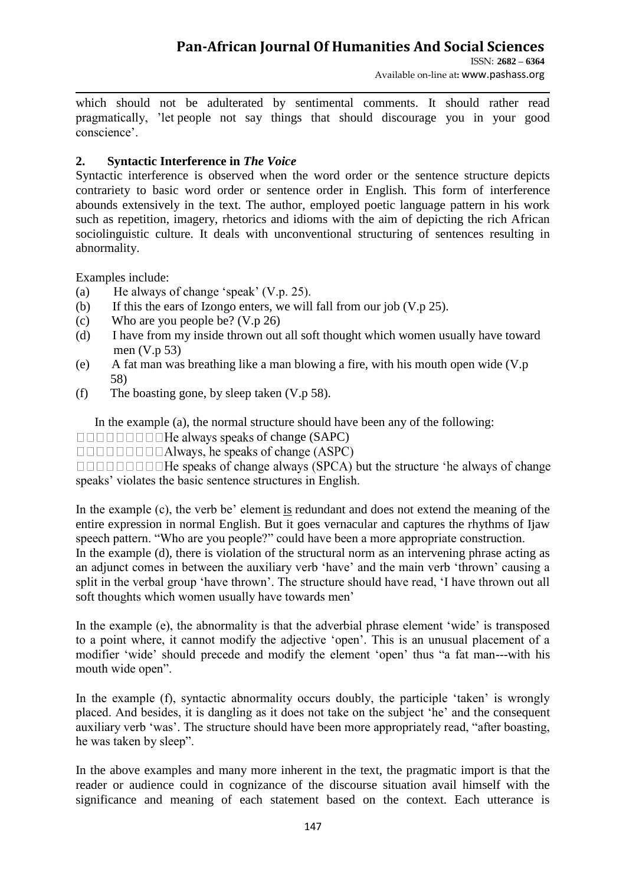ISSN: **2682 – 6364** Available on-line at**:** www.pashass.org

which should not be adulterated by sentimental comments. It should rather read pragmatically, "let people not say things that should discourage you in your good conscience".

## **2. Syntactic Interference in** *The Voice*

Syntactic interference is observed when the word order or the sentence structure depicts contrariety to basic word order or sentence order in English. This form of interference abounds extensively in the text. The author, employed poetic language pattern in his work such as repetition, imagery, rhetorics and idioms with the aim of depicting the rich African sociolinguistic culture. It deals with unconventional structuring of sentences resulting in abnormality.

Examples include:

- (a) He always of change "speak" (V.p. 25).
- (b) If this the ears of Izongo enters, we will fall from our job  $(V, p 25)$ .
- (c) Who are you people be? (V.p 26)
- (d) I have from my inside thrown out all soft thought which women usually have toward men (V.p 53)
- (e) A fat man was breathing like a man blowing a fire, with his mouth open wide (V.p 58)
- (f) The boasting gone, by sleep taken (V.p 58).

In the example (a), the normal structure should have been any of the following:

of change (SAPC)

 $\Box$  $\Box$  $\Box$  $\Box$  $\Box$  $\Box$  $\Box$ Always, he speaks of change (ASPC)

speaks' violates the basic sentence structures in English.

In the example  $(c)$ , the verb be' element is redundant and does not extend the meaning of the entire expression in normal English. But it goes vernacular and captures the rhythms of Ijaw speech pattern. "Who are you people?" could have been a more appropriate construction.

In the example (d), there is violation of the structural norm as an intervening phrase acting as an adjunct comes in between the auxiliary verb "have" and the main verb "thrown" causing a split in the verbal group 'have thrown'. The structure should have read, 'I have thrown out all soft thoughts which women usually have towards men'

In the example (e), the abnormality is that the adverbial phrase element "wide" is transposed to a point where, it cannot modify the adjective "open". This is an unusual placement of a modifier "wide" should precede and modify the element "open" thus "a fat man---with his mouth wide open".

In the example (f), syntactic abnormality occurs doubly, the participle 'taken' is wrongly placed. And besides, it is dangling as it does not take on the subject "he" and the consequent auxiliary verb 'was'. The structure should have been more appropriately read, "after boasting, he was taken by sleep".

In the above examples and many more inherent in the text, the pragmatic import is that the reader or audience could in cognizance of the discourse situation avail himself with the significance and meaning of each statement based on the context. Each utterance is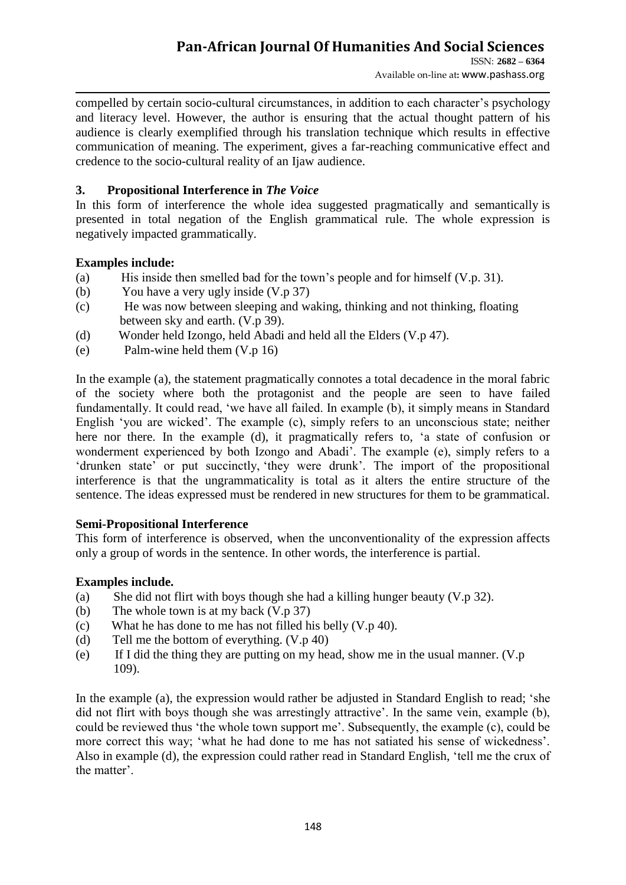# **Pan-African Journal Of Humanities And Social Sciences**

ISSN: **2682 – 6364** Available on-line at**:** www.pashass.org

compelled by certain socio-cultural circumstances, in addition to each character's psychology and literacy level. However, the author is ensuring that the actual thought pattern of his audience is clearly exemplified through his translation technique which results in effective communication of meaning. The experiment, gives a far-reaching communicative effect and credence to the socio-cultural reality of an Ijaw audience.

# **3. Propositional Interference in** *The Voice*

In this form of interference the whole idea suggested pragmatically and semantically is presented in total negation of the English grammatical rule. The whole expression is negatively impacted grammatically.

# **Examples include:**

- (a) His inside then smelled bad for the town"s people and for himself (V.p. 31).
- (b) You have a very ugly inside (V.p 37)
- (c) He was now between sleeping and waking, thinking and not thinking, floating between sky and earth. (V.p 39).
- (d) Wonder held Izongo, held Abadi and held all the Elders (V.p 47).
- (e) Palm-wine held them (V.p 16)

In the example (a), the statement pragmatically connotes a total decadence in the moral fabric of the society where both the protagonist and the people are seen to have failed fundamentally. It could read, "we have all failed. In example (b), it simply means in Standard English 'you are wicked'. The example (c), simply refers to an unconscious state; neither here nor there. In the example (d), it pragmatically refers to, 'a state of confusion or wonderment experienced by both Izongo and Abadi". The example (e), simply refers to a "drunken state" or put succinctly, "they were drunk". The import of the propositional interference is that the ungrammaticality is total as it alters the entire structure of the sentence. The ideas expressed must be rendered in new structures for them to be grammatical.

## **Semi-Propositional Interference**

This form of interference is observed, when the unconventionality of the expression affects only a group of words in the sentence. In other words, the interference is partial.

## **Examples include.**

- (a) She did not flirt with boys though she had a killing hunger beauty (V.p 32).
- (b) The whole town is at my back (V.p 37)
- (c) What he has done to me has not filled his belly (V.p 40).
- (d) Tell me the bottom of everything. (V.p 40)
- (e) If I did the thing they are putting on my head, show me in the usual manner. (V.p 109).

In the example (a), the expression would rather be adjusted in Standard English to read; "she did not flirt with boys though she was arrestingly attractive'. In the same vein, example (b), could be reviewed thus 'the whole town support me'. Subsequently, the example (c), could be more correct this way; "what he had done to me has not satiated his sense of wickedness". Also in example (d), the expression could rather read in Standard English, "tell me the crux of the matter'.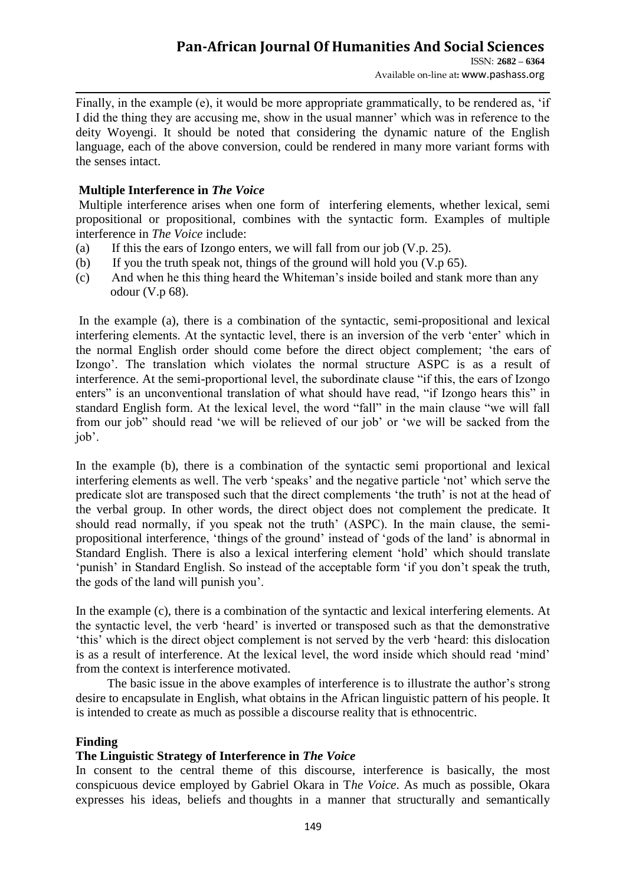Available on-line at**:** www.pashass.org

Finally, in the example (e), it would be more appropriate grammatically, to be rendered as, "if I did the thing they are accusing me, show in the usual manner" which was in reference to the deity Woyengi. It should be noted that considering the dynamic nature of the English language, each of the above conversion, could be rendered in many more variant forms with the senses intact.

## **Multiple Interference in** *The Voice*

Multiple interference arises when one form of interfering elements, whether lexical, semi propositional or propositional, combines with the syntactic form. Examples of multiple interference in *The Voice* include:

- (a) If this the ears of Izongo enters, we will fall from our job  $(V, p. 25)$ .
- (b) If you the truth speak not, things of the ground will hold you (V.p 65).
- (c) And when he this thing heard the Whiteman"s inside boiled and stank more than any odour (V.p 68).

In the example (a), there is a combination of the syntactic, semi-propositional and lexical interfering elements. At the syntactic level, there is an inversion of the verb "enter" which in the normal English order should come before the direct object complement; "the ears of Izongo". The translation which violates the normal structure ASPC is as a result of interference. At the semi-proportional level, the subordinate clause "if this, the ears of Izongo enters" is an unconventional translation of what should have read, "if Izongo hears this" in standard English form. At the lexical level, the word "fall" in the main clause "we will fall from our job" should read "we will be relieved of our job" or "we will be sacked from the job".

In the example (b), there is a combination of the syntactic semi proportional and lexical interfering elements as well. The verb 'speaks' and the negative particle 'not' which serve the predicate slot are transposed such that the direct complements "the truth" is not at the head of the verbal group. In other words, the direct object does not complement the predicate. It should read normally, if you speak not the truth' (ASPC). In the main clause, the semipropositional interference, "things of the ground" instead of "gods of the land" is abnormal in Standard English. There is also a lexical interfering element "hold" which should translate "punish" in Standard English. So instead of the acceptable form "if you don't speak the truth, the gods of the land will punish you".

In the example (c), there is a combination of the syntactic and lexical interfering elements. At the syntactic level, the verb "heard" is inverted or transposed such as that the demonstrative "this" which is the direct object complement is not served by the verb "heard: this dislocation is as a result of interference. At the lexical level, the word inside which should read "mind" from the context is interference motivated.

The basic issue in the above examples of interference is to illustrate the author's strong desire to encapsulate in English, what obtains in the African linguistic pattern of his people. It is intended to create as much as possible a discourse reality that is ethnocentric.

### **Finding**

## **The Linguistic Strategy of Interference in** *The Voice*

In consent to the central theme of this discourse, interference is basically, the most conspicuous device employed by Gabriel Okara in T*he Voice*. As much as possible, Okara expresses his ideas, beliefs and thoughts in a manner that structurally and semantically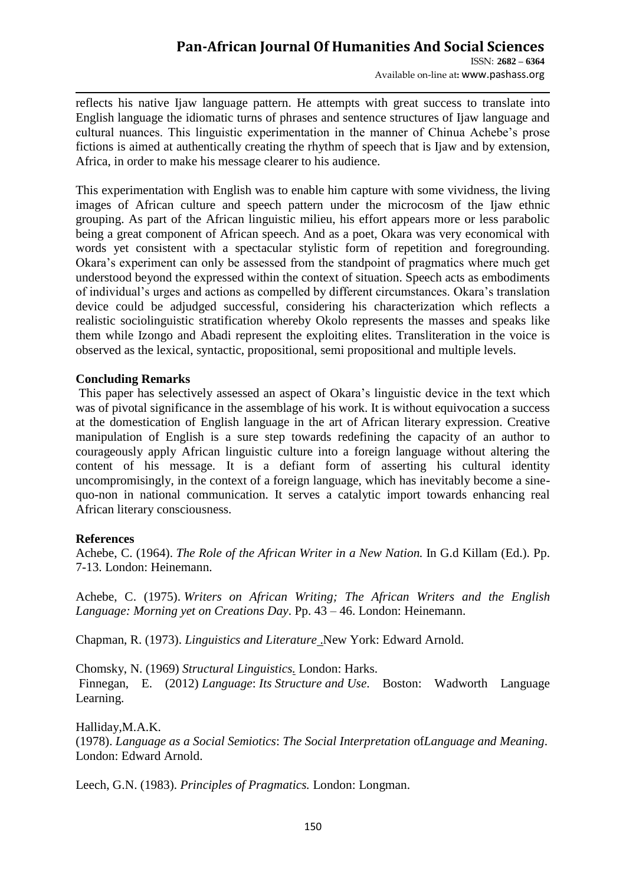## **Pan-African Journal Of Humanities And Social Sciences**  ISSN: **2682 – 6364**

Available on-line at**:** www.pashass.org

reflects his native Ijaw language pattern. He attempts with great success to translate into English language the idiomatic turns of phrases and sentence structures of Ijaw language and cultural nuances. This linguistic experimentation in the manner of Chinua Achebe"s prose fictions is aimed at authentically creating the rhythm of speech that is Ijaw and by extension. Africa, in order to make his message clearer to his audience.

This experimentation with English was to enable him capture with some vividness, the living images of African culture and speech pattern under the microcosm of the Ijaw ethnic grouping. As part of the African linguistic milieu, his effort appears more or less parabolic being a great component of African speech. And as a poet, Okara was very economical with words yet consistent with a spectacular stylistic form of repetition and foregrounding. Okara"s experiment can only be assessed from the standpoint of pragmatics where much get understood beyond the expressed within the context of situation. Speech acts as embodiments of individual"s urges and actions as compelled by different circumstances. Okara"s translation device could be adjudged successful, considering his characterization which reflects a realistic sociolinguistic stratification whereby Okolo represents the masses and speaks like them while Izongo and Abadi represent the exploiting elites. Transliteration in the voice is observed as the lexical, syntactic, propositional, semi propositional and multiple levels.

### **Concluding Remarks**

This paper has selectively assessed an aspect of Okara's linguistic device in the text which was of pivotal significance in the assemblage of his work. It is without equivocation a success at the domestication of English language in the art of African literary expression. Creative manipulation of English is a sure step towards redefining the capacity of an author to courageously apply African linguistic culture into a foreign language without altering the content of his message. It is a defiant form of asserting his cultural identity uncompromisingly, in the context of a foreign language, which has inevitably become a sinequo-non in national communication. It serves a catalytic import towards enhancing real African literary consciousness.

## **References**

Achebe, C. (1964). *The Role of the African Writer in a New Nation.* In G.d Killam (Ed.). Pp. 7-13. London: Heinemann.

Achebe, C. (1975). *Writers on African Writing; The African Writers and the English Language: Morning yet on Creations Day*. Pp. 43 – 46. London: Heinemann.

Chapman, R. (1973). *Linguistics and Literature* .New York: Edward Arnold.

Chomsky, N. (1969) *Structural Linguistics.* London: Harks.

Finnegan, E. (2012) *Language*: *Its Structure and Use*. Boston: Wadworth Language Learning.

Halliday,M.A.K. (1978). *Language as a Social Semiotics*: *The Social Interpretation* of*Language and Meaning*. London: Edward Arnold.

Leech, G.N. (1983). *Principles of Pragmatics.* London: Longman.